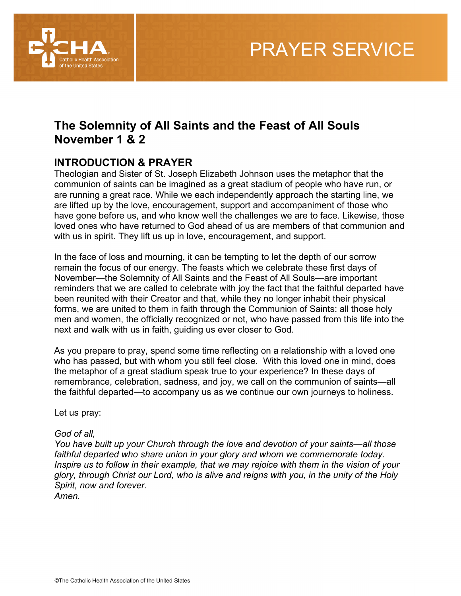

## **The Solemnity of All Saints and the Feast of All Souls November 1 & 2**

### **INTRODUCTION & PRAYER**

Theologian and Sister of St. Joseph Elizabeth Johnson uses the metaphor that the communion of saints can be imagined as a great stadium of people who have run, or are running a great race. While we each independently approach the starting line, we are lifted up by the love, encouragement, support and accompaniment of those who have gone before us, and who know well the challenges we are to face. Likewise, those loved ones who have returned to God ahead of us are members of that communion and with us in spirit. They lift us up in love, encouragement, and support.

In the face of loss and mourning, it can be tempting to let the depth of our sorrow remain the focus of our energy. The feasts which we celebrate these first days of November—the Solemnity of All Saints and the Feast of All Souls—are important reminders that we are called to celebrate with joy the fact that the faithful departed have been reunited with their Creator and that, while they no longer inhabit their physical forms, we are united to them in faith through the Communion of Saints: all those holy men and women, the officially recognized or not, who have passed from this life into the next and walk with us in faith, guiding us ever closer to God.

As you prepare to pray, spend some time reflecting on a relationship with a loved one who has passed, but with whom you still feel close. With this loved one in mind, does the metaphor of a great stadium speak true to your experience? In these days of remembrance, celebration, sadness, and joy, we call on the communion of saints—all the faithful departed—to accompany us as we continue our own journeys to holiness.

Let us pray:

#### *God of all,*

*You have built up your Church through the love and devotion of your saints—all those faithful departed who share union in your glory and whom we commemorate today. Inspire us to follow in their example, that we may rejoice with them in the vision of your glory, through Christ our Lord, who is alive and reigns with you, in the unity of the Holy Spirit, now and forever.*

*Amen.*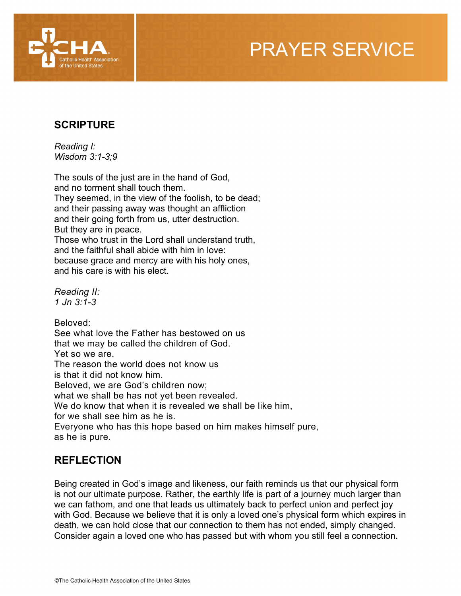

### **SCRIPTURE**

*Reading I: Wisdom 3:1-3;9*

The souls of the just are in the hand of God, and no torment shall touch them. They seemed, in the view of the foolish, to be dead; and their passing away was thought an affliction and their going forth from us, utter destruction. But they are in peace. Those who trust in the Lord shall understand truth, and the faithful shall abide with him in love:

because grace and mercy are with his holy ones, and his care is with his elect.

*Reading II: 1 Jn 3:1-3*

Beloved: See what love the Father has bestowed on us that we may be called the children of God. Yet so we are. The reason the world does not know us is that it did not know him. Beloved, we are God's children now; what we shall be has not yet been revealed. We do know that when it is revealed we shall be like him, for we shall see him as he is. Everyone who has this hope based on him makes himself pure, as he is pure.

### **REFLECTION**

Being created in God's image and likeness, our faith reminds us that our physical form is not our ultimate purpose. Rather, the earthly life is part of a journey much larger than we can fathom, and one that leads us ultimately back to perfect union and perfect joy with God. Because we believe that it is only a loved one's physical form which expires in death, we can hold close that our connection to them has not ended, simply changed. Consider again a loved one who has passed but with whom you still feel a connection.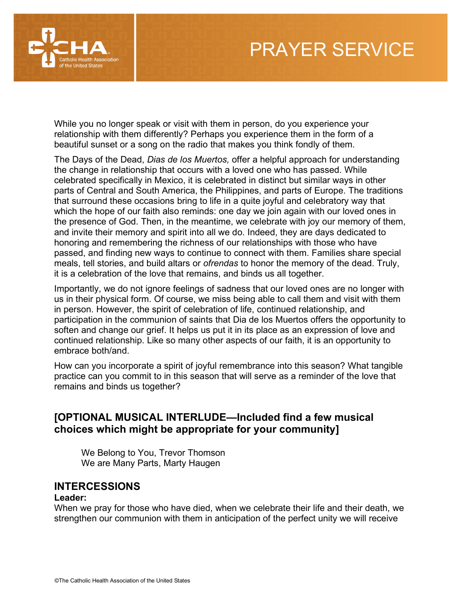

While you no longer speak or visit with them in person, do you experience your relationship with them differently? Perhaps you experience them in the form of a beautiful sunset or a song on the radio that makes you think fondly of them.

The Days of the Dead, *Dias de los Muertos,* offer a helpful approach for understanding the change in relationship that occurs with a loved one who has passed. While celebrated specifically in Mexico, it is celebrated in distinct but similar ways in other parts of Central and South America, the Philippines, and parts of Europe. The traditions that surround these occasions bring to life in a quite joyful and celebratory way that which the hope of our faith also reminds: one day we join again with our loved ones in the presence of God. Then, in the meantime, we celebrate with joy our memory of them, and invite their memory and spirit into all we do. Indeed, they are days dedicated to honoring and remembering the richness of our relationships with those who have passed, and finding new ways to continue to connect with them. Families share special meals, tell stories, and build altars or *ofrendas* to honor the memory of the dead. Truly, it is a celebration of the love that remains, and binds us all together.

Importantly, we do not ignore feelings of sadness that our loved ones are no longer with us in their physical form. Of course, we miss being able to call them and visit with them in person. However, the spirit of celebration of life, continued relationship, and participation in the communion of saints that Dia de los Muertos offers the opportunity to soften and change our grief. It helps us put it in its place as an expression of love and continued relationship. Like so many other aspects of our faith, it is an opportunity to embrace both/and.

How can you incorporate a spirit of joyful remembrance into this season? What tangible practice can you commit to in this season that will serve as a reminder of the love that remains and binds us together?

### **[OPTIONAL MUSICAL INTERLUDE—Included find a few musical choices which might be appropriate for your community]**

We Belong to You, Trevor Thomson We are Many Parts, Marty Haugen

#### **INTERCESSIONS**

#### **Leader:**

When we pray for those who have died, when we celebrate their life and their death, we strengthen our communion with them in anticipation of the perfect unity we will receive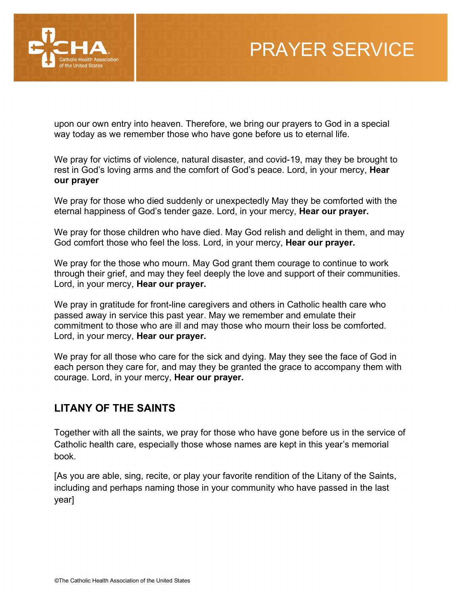

upon our own entry into heaven. Therefore, we bring our prayers to God in a special way today as we remember those who have gone before us to eternal life.

We pray for victims of violence, natural disaster, and covid-19, may they be brought to rest in God's loving arms and the comfort of God's peace. Lord, in your mercy, **Hear our prayer** 

We pray for those who died suddenly or unexpectedly May they be comforted with the eternal happiness of God's tender gaze. Lord, in your mercy, **Hear our prayer.**

We pray for those children who have died. May God relish and delight in them, and may God comfort those who feel the loss. Lord, in your mercy, **Hear our prayer.**

We pray for the those who mourn. May God grant them courage to continue to work through their grief, and may they feel deeply the love and support of their communities. Lord, in your mercy, **Hear our prayer.**

We pray in gratitude for front-line caregivers and others in Catholic health care who passed away in service this past year. May we remember and emulate their commitment to those who are ill and may those who mourn their loss be comforted. Lord, in your mercy, **Hear our prayer.**

We pray for all those who care for the sick and dying. May they see the face of God in each person they care for, and may they be granted the grace to accompany them with courage. Lord, in your mercy, **Hear our prayer.**

### **LITANY OF THE SAINTS**

Together with all the saints, we pray for those who have gone before us in the service of Catholic health care, especially those whose names are kept in this year's memorial book.

[As you are able, sing, recite, or play your favorite rendition of the Litany of the Saints, including and perhaps naming those in your community who have passed in the last year]